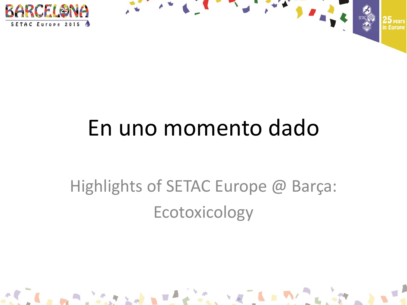



 $\mathbf{L} = \mathbf{L}$ 

# En uno momento dado

## Highlights of SETAC Europe @ Barça: Ecotoxicology

A BOTH AND A BUT IT IS A REAL PARTY.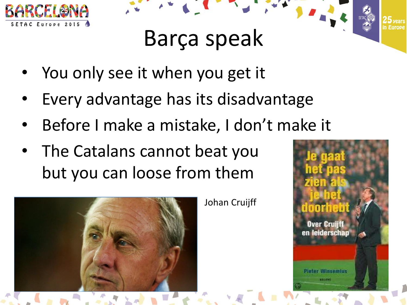

## Barça speak

- You only see it when you get it
- Every advantage has its disadvantage
- Before I make a mistake, I don't make it
- The Catalans cannot beat you but you can loose from them



Johan Cruijff

**Over Cruijff** en leiderschap Pieter Winsemius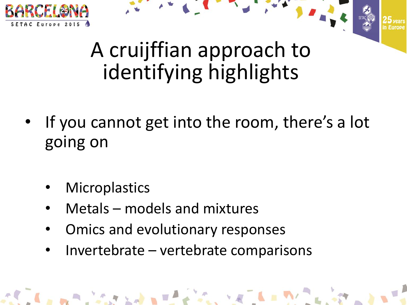



## A cruijffian approach to identifying highlights

- If you cannot get into the room, there's a lot going on
	- **Microplastics**
	- Metals models and mixtures
	- Omics and evolutionary responses
	- Invertebrate vertebrate comparisons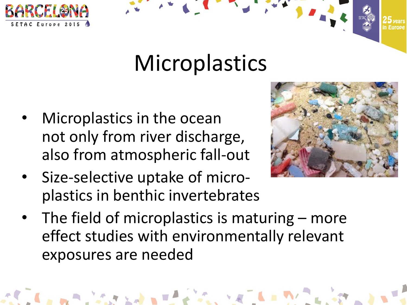

## Microplastics

- Microplastics in the ocean not only from river discharge, also from atmospheric fall-out
- Size-selective uptake of microplastics in benthic invertebrates



• The field of microplastics is maturing – more effect studies with environmentally relevant exposures are needed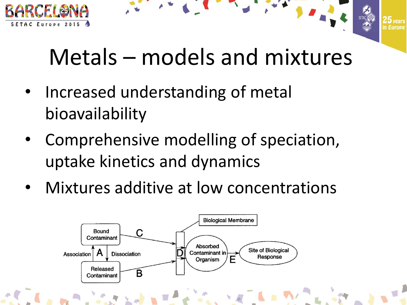

# Metals – models and mixtures

- Increased understanding of metal bioavailability
- Comprehensive modelling of speciation, uptake kinetics and dynamics
- Mixtures additive at low concentrations

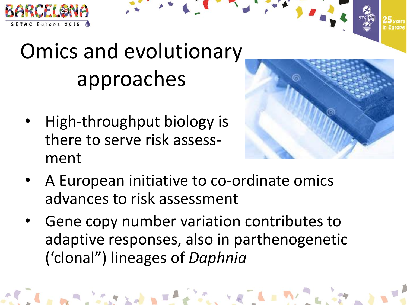



• High-throughput biology is there to serve risk assessment



- A European initiative to co-ordinate omics advances to risk assessment
- Gene copy number variation contributes to adaptive responses, also in parthenogenetic ('clonal") lineages of *Daphnia*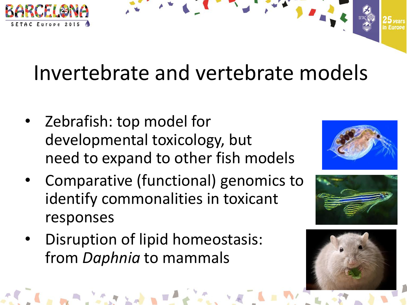

### Invertebrate and vertebrate models

- Zebrafish: top model for developmental toxicology, but need to expand to other fish models
- Comparative (functional) genomics to identify commonalities in toxicant responses
- Disruption of lipid homeostasis: from *Daphnia* to mammals





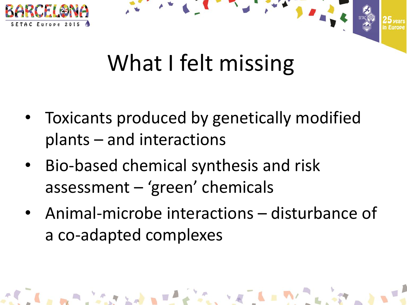

# What I felt missing

The contract of the contract of the contract of

- Toxicants produced by genetically modified plants – and interactions
- Bio-based chemical synthesis and risk assessment – 'green' chemicals

ALC: A PARTICULAR AND INCOME.

• Animal-microbe interactions – disturbance of a co-adapted complexes

 $\mathcal{L}_{\mathbf{c},\mathbf{c}} \times \mathbb{R} \longrightarrow \mathbb{R}$